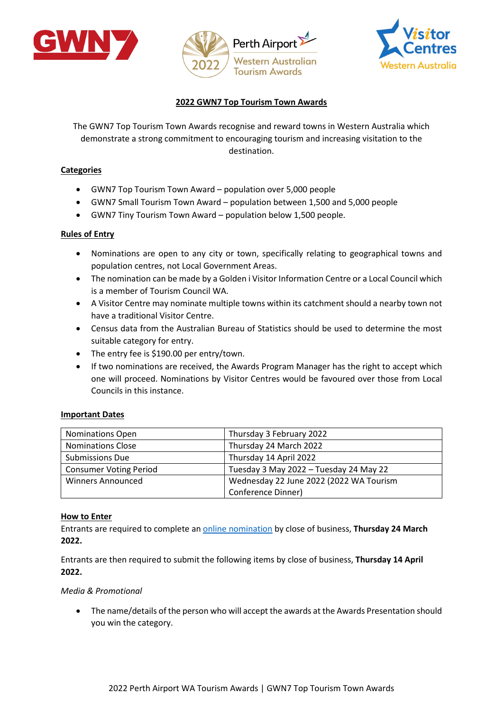





# **2022 GWN7 Top Tourism Town Awards**

The GWN7 Top Tourism Town Awards recognise and reward towns in Western Australia which demonstrate a strong commitment to encouraging tourism and increasing visitation to the destination.

### **Categories**

- GWN7 Top Tourism Town Award population over 5,000 people
- GWN7 Small Tourism Town Award population between 1,500 and 5,000 people
- GWN7 Tiny Tourism Town Award population below 1,500 people.

#### **Rules of Entry**

- Nominations are open to any city or town, specifically relating to geographical towns and population centres, not Local Government Areas.
- The nomination can be made by a Golden i Visitor Information Centre or a Local Council which is a member of Tourism Council WA.
- A Visitor Centre may nominate multiple towns within its catchment should a nearby town not have a traditional Visitor Centre.
- Census data from the Australian Bureau of Statistics should be used to determine the most suitable category for entry.
- The entry fee is \$190.00 per entry/town.
- If two nominations are received, the Awards Program Manager has the right to accept which one will proceed. Nominations by Visitor Centres would be favoured over those from Local Councils in this instance.

#### **Important Dates**

| <b>Nominations Open</b>       | Thursday 3 February 2022                |
|-------------------------------|-----------------------------------------|
| <b>Nominations Close</b>      | Thursday 24 March 2022                  |
| <b>Submissions Due</b>        | Thursday 14 April 2022                  |
| <b>Consumer Voting Period</b> | Tuesday 3 May 2022 - Tuesday 24 May 22  |
| <b>Winners Announced</b>      | Wednesday 22 June 2022 (2022 WA Tourism |
|                               | Conference Dinner)                      |

#### **How to Enter**

Entrants are required to complete an online [nomination](https://online.qualitytourismaustralia.com/) by close of business, **Thursday 24 March 2022.** 

Entrants are then required to submit the following items by close of business, **Thursday 14 April 2022.** 

#### *Media & Promotional*

• The name/details of the person who will accept the awards at the Awards Presentation should you win the category.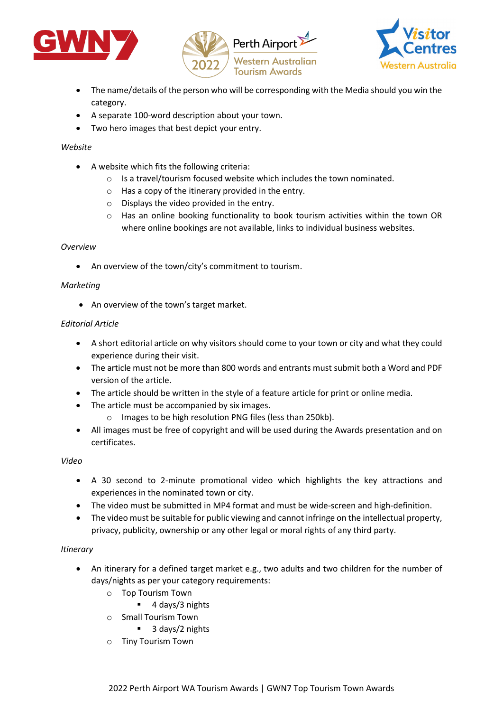





- The name/details of the person who will be corresponding with the Media should you win the category.
- A separate 100-word description about your town.
- Two hero images that best depict your entry.

## *Website*

- A website which fits the following criteria:
	- o Is a travel/tourism focused website which includes the town nominated.
	- o Has a copy of the itinerary provided in the entry.
	- o Displays the video provided in the entry.
	- o Has an online booking functionality to book tourism activities within the town OR where online bookings are not available, links to individual business websites.

## *Overview*

• An overview of the town/city's commitment to tourism.

## *Marketing*

• An overview of the town's target market.

## *Editorial Article*

- A short editorial article on why visitors should come to your town or city and what they could experience during their visit.
- The article must not be more than 800 words and entrants must submit both a Word and PDF version of the article.
- The article should be written in the style of a feature article for print or online media.
- The article must be accompanied by six images.
	- o Images to be high resolution PNG files (less than 250kb).
- All images must be free of copyright and will be used during the Awards presentation and on certificates.

#### *Video*

- A 30 second to 2-minute promotional video which highlights the key attractions and experiences in the nominated town or city.
- The video must be submitted in MP4 format and must be wide-screen and high-definition.
- The video must be suitable for public viewing and cannot infringe on the intellectual property, privacy, publicity, ownership or any other legal or moral rights of any third party.

#### *Itinerary*

- An itinerary for a defined target market e.g., two adults and two children for the number of days/nights as per your category requirements:
	- o Top Tourism Town
		- 4 days/3 nights
	- o Small Tourism Town
		- 3 days/2 nights
	- o Tiny Tourism Town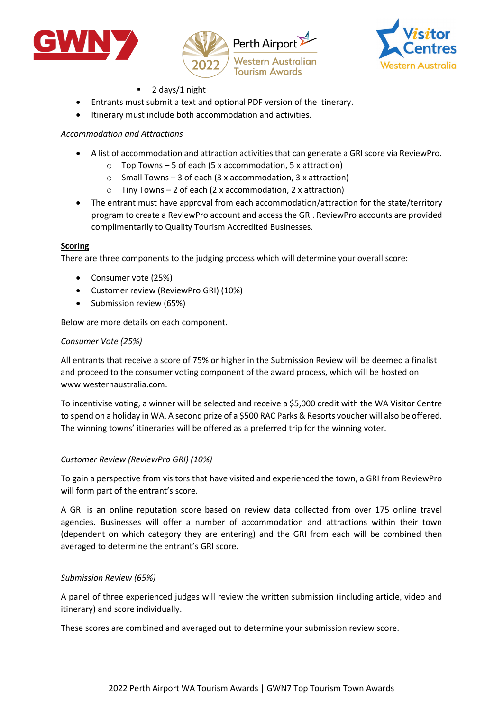





- 2 days/1 night
- Entrants must submit a text and optional PDF version of the itinerary.
- Itinerary must include both accommodation and activities.

# *Accommodation and Attractions*

- A list of accommodation and attraction activities that can generate a GRI score via ReviewPro.
	- $\circ$  Top Towns 5 of each (5 x accommodation, 5 x attraction)
	- $\circ$  Small Towns 3 of each (3 x accommodation, 3 x attraction)
	- $\circ$  Tiny Towns 2 of each (2 x accommodation, 2 x attraction)
- The entrant must have approval from each accommodation/attraction for the state/territory program to create a ReviewPro account and access the GRI. ReviewPro accounts are provided complimentarily to Quality Tourism Accredited Businesses.

## **Scoring**

There are three components to the judging process which will determine your overall score:

- Consumer vote (25%)
- Customer review (ReviewPro GRI) (10%)
- Submission review (65%)

Below are more details on each component.

## *Consumer Vote (25%)*

All entrants that receive a score of 75% or higher in the Submission Review will be deemed a finalist and proceed to the consumer voting component of the award process, which will be hosted on [www.westernaustralia.com.](http://www.westernaustralia.com/)

To incentivise voting, a winner will be selected and receive a \$5,000 credit with the WA Visitor Centre to spend on a holiday in WA. A second prize of a \$500 RAC Parks & Resorts voucher will also be offered. The winning towns' itineraries will be offered as a preferred trip for the winning voter.

## *Customer Review (ReviewPro GRI) (10%)*

To gain a perspective from visitors that have visited and experienced the town, a GRI from ReviewPro will form part of the entrant's score.

A GRI is an online reputation score based on review data collected from over 175 online travel agencies. Businesses will offer a number of accommodation and attractions within their town (dependent on which category they are entering) and the GRI from each will be combined then averaged to determine the entrant's GRI score.

## *Submission Review (65%)*

A panel of three experienced judges will review the written submission (including article, video and itinerary) and score individually.

These scores are combined and averaged out to determine your submission review score.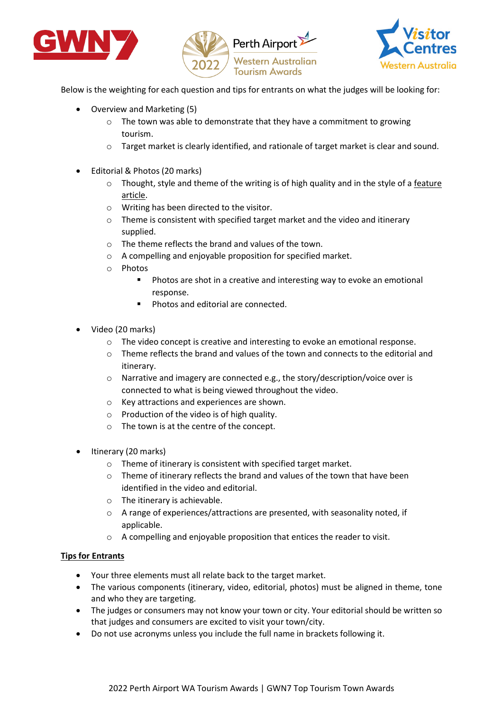





Below is the weighting for each question and tips for entrants on what the judges will be looking for:

- Overview and Marketing (5)
	- o The town was able to demonstrate that they have a commitment to growing tourism.
	- o Target market is clearly identified, and rationale of target market is clear and sound.
- Editorial & Photos (20 marks)
	- $\circ$  Thought, style and theme of the writing is of high quality and in the style of a feature article.
	- o Writing has been directed to the visitor.
	- o Theme is consistent with specified target market and the video and itinerary supplied.
	- o The theme reflects the brand and values of the town.
	- o A compelling and enjoyable proposition for specified market.
	- o Photos
		- **Photos are shot in a creative and interesting way to evoke an emotional** response.
		- **Photos and editorial are connected.**
- Video (20 marks)
	- o The video concept is creative and interesting to evoke an emotional response.
	- o Theme reflects the brand and values of the town and connects to the editorial and itinerary.
	- o Narrative and imagery are connected e.g., the story/description/voice over is connected to what is being viewed throughout the video.
	- o Key attractions and experiences are shown.
	- o Production of the video is of high quality.
	- o The town is at the centre of the concept.
- Itinerary (20 marks)
	- o Theme of itinerary is consistent with specified target market.
	- o Theme of itinerary reflects the brand and values of the town that have been identified in the video and editorial.
	- o The itinerary is achievable.
	- o A range of experiences/attractions are presented, with seasonality noted, if applicable.
	- o A compelling and enjoyable proposition that entices the reader to visit.

#### **Tips for Entrants**

- Your three elements must all relate back to the target market.
- The various components (itinerary, video, editorial, photos) must be aligned in theme, tone and who they are targeting.
- The judges or consumers may not know your town or city. Your editorial should be written so that judges and consumers are excited to visit your town/city.
- Do not use acronyms unless you include the full name in brackets following it.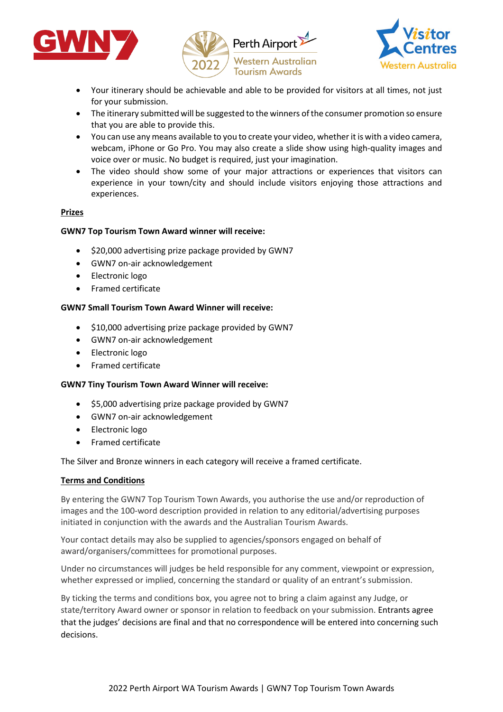





- Your itinerary should be achievable and able to be provided for visitors at all times, not just for your submission.
- The itinerary submitted will be suggested to the winners of the consumer promotion so ensure that you are able to provide this.
- You can use any means available to you to create your video, whether it is with a video camera, webcam, iPhone or Go Pro. You may also create a slide show using high-quality images and voice over or music. No budget is required, just your imagination.
- The video should show some of your major attractions or experiences that visitors can experience in your town/city and should include visitors enjoying those attractions and experiences.

## **Prizes**

## **GWN7 Top Tourism Town Award winner will receive:**

- \$20,000 advertising prize package provided by GWN7
- GWN7 on-air acknowledgement
- Electronic logo
- Framed certificate

#### **GWN7 Small Tourism Town Award Winner will receive:**

- \$10,000 advertising prize package provided by GWN7
- GWN7 on-air acknowledgement
- Electronic logo
- Framed certificate

#### **GWN7 Tiny Tourism Town Award Winner will receive:**

- \$5,000 advertising prize package provided by GWN7
- GWN7 on-air acknowledgement
- Electronic logo
- Framed certificate

The Silver and Bronze winners in each category will receive a framed certificate.

#### **Terms and Conditions**

By entering the GWN7 Top Tourism Town Awards, you authorise the use and/or reproduction of images and the 100-word description provided in relation to any editorial/advertising purposes initiated in conjunction with the awards and the Australian Tourism Awards.

Your contact details may also be supplied to agencies/sponsors engaged on behalf of award/organisers/committees for promotional purposes.

Under no circumstances will judges be held responsible for any comment, viewpoint or expression, whether expressed or implied, concerning the standard or quality of an entrant's submission.

By ticking the terms and conditions box, you agree not to bring a claim against any Judge, or state/territory Award owner or sponsor in relation to feedback on your submission. Entrants agree that the judges' decisions are final and that no correspondence will be entered into concerning such decisions.